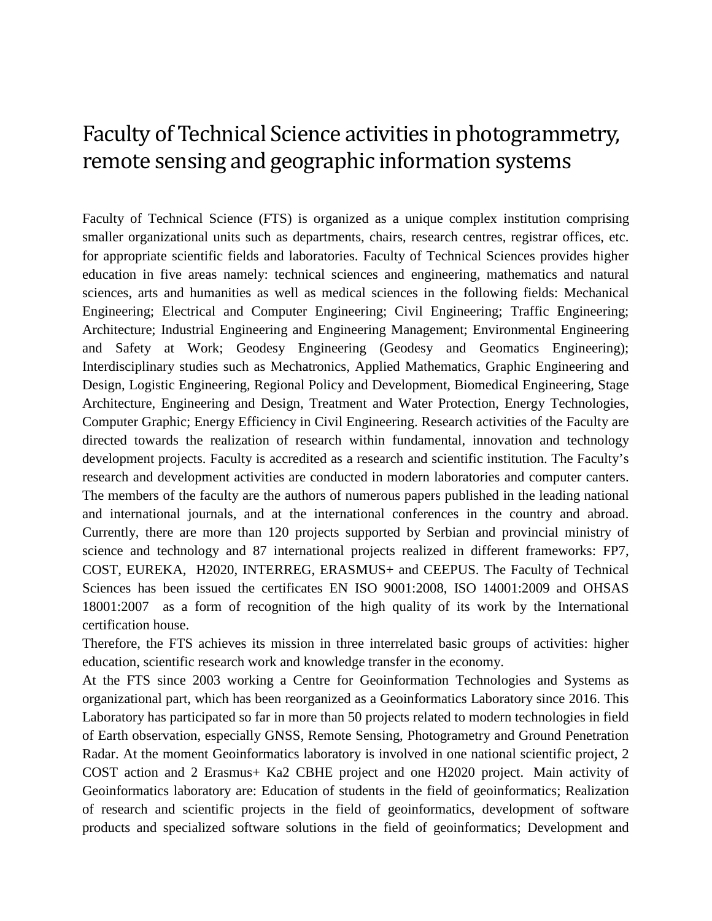## Faculty of Technical Science activities in photogrammetry, remote sensing and geographic information systems

Faculty of Technical Science (FTS) is organized as a unique complex institution comprising smaller organizational units such as departments, chairs, research centres, registrar offices, etc. for appropriate scientific fields and laboratories. Faculty of Technical Sciences provides higher education in five areas namely: technical sciences and engineering, mathematics and natural sciences, arts and humanities as well as medical sciences in the following fields: Mechanical Engineering; Electrical and Computer Engineering; Civil Engineering; Traffic Engineering; Architecture; Industrial Engineering and Engineering Management; Environmental Engineering and Safety at Work; Geodesy Engineering (Geodesy and Geomatics Engineering); Interdisciplinary studies such as Mechatronics, Applied Mathematics, Graphic Engineering and Design, Logistic Engineering, Regional Policy and Development, Biomedical Engineering, Stage Architecture, Engineering and Design, Treatment and Water Protection, Energy Technologies, Computer Graphic; Energy Efficiency in Civil Engineering. Research activities of the Faculty are directed towards the realization of research within fundamental, innovation and technology development projects. Faculty is accredited as a research and scientific institution. The Faculty's research and development activities are conducted in modern laboratories and computer canters. The members of the faculty are the authors of numerous papers published in the leading national and international journals, and at the international conferences in the country and abroad. Currently, there are more than 120 projects supported by Serbian and provincial ministry of science and technology and 87 international projects realized in different frameworks: FP7, COST, EUREKA, H2020, INTERREG, ERASMUS+ and CEEPUS. The Faculty of Technical Sciences has been issued the certificates EN ISO 9001:2008, ISO 14001:2009 and OHSAS 18001:2007 as a form of recognition of the high quality of its work by the International certification house.

Therefore, the FTS achieves its mission in three interrelated basic groups of activities: higher education, scientific research work and knowledge transfer in the economy.

At the FTS since 2003 working a Centre for Geoinformation Technologies and Systems as organizational part, which has been reorganized as a Geoinformatics Laboratory since 2016. This Laboratory has participated so far in more than 50 projects related to modern technologies in field of Earth observation, especially GNSS, Remote Sensing, Photogrametry and Ground Penetration Radar. At the moment Geoinformatics laboratory is involved in one national scientific project, 2 COST action and 2 Erasmus+ Ka2 CBHE project and one H2020 project. Main activity of Geoinformatics laboratory are: Education of students in the field of geoinformatics; Realization of research and scientific projects in the field of geoinformatics, development of software products and specialized software solutions in the field of geoinformatics; Development and